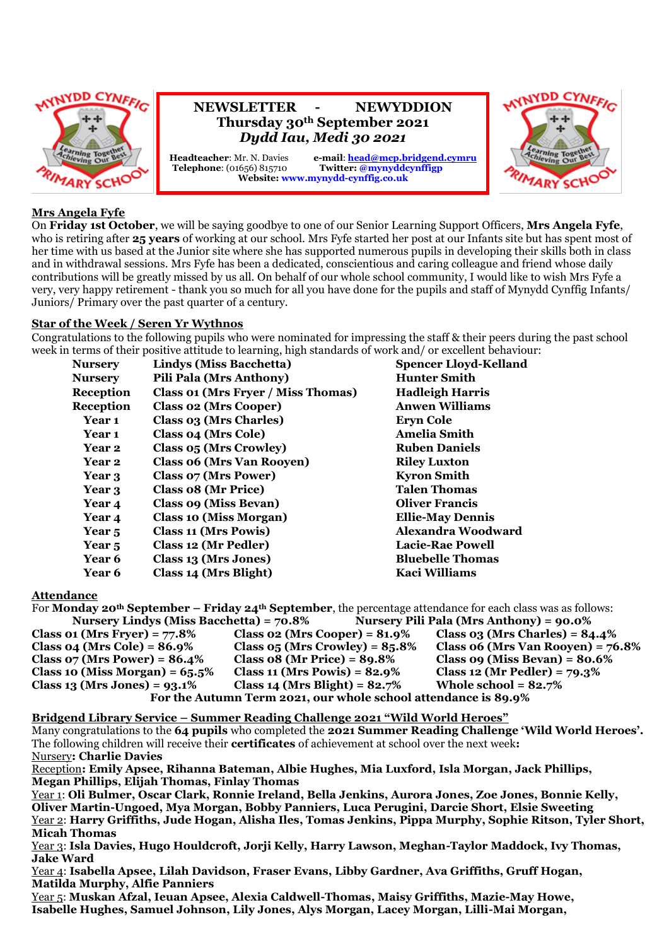

#### **Mrs Angela Fyfe**

On **Friday 1st October**, we will be saying goodbye to one of our Senior Learning Support Officers, **Mrs Angela Fyfe**, who is retiring after **25 years** of working at our school. Mrs Fyfe started her post at our Infants site but has spent most of her time with us based at the Junior site where she has supported numerous pupils in developing their skills both in class and in withdrawal sessions. Mrs Fyfe has been a dedicated, conscientious and caring colleague and friend whose daily contributions will be greatly missed by us all. On behalf of our whole school community, I would like to wish Mrs Fyfe a very, very happy retirement - thank you so much for all you have done for the pupils and staff of Mynydd Cynffig Infants/ Juniors/ Primary over the past quarter of a century.

#### **Star of the Week / Seren Yr Wythnos**

Congratulations to the following pupils who were nominated for impressing the staff & their peers during the past school week in terms of their positive attitude to learning, high standards of work and/ or excellent behaviour:

| <b>Nursery</b>    | Lindys (Miss Bacchetta)            | <b>Spencer Lloyd-Kelland</b> |
|-------------------|------------------------------------|------------------------------|
| Nursery           | Pili Pala (Mrs Anthony)            | <b>Hunter Smith</b>          |
| Reception         | Class 01 (Mrs Fryer / Miss Thomas) | <b>Hadleigh Harris</b>       |
| Reception         | <b>Class 02 (Mrs Cooper)</b>       | <b>Anwen Williams</b>        |
| Year 1            | Class 03 (Mrs Charles)             | <b>Eryn Cole</b>             |
| Year 1            | Class 04 (Mrs Cole)                | <b>Amelia Smith</b>          |
| Year 2            | Class 05 (Mrs Crowley)             | <b>Ruben Daniels</b>         |
| Year 2            | <b>Class 06 (Mrs Van Rooyen)</b>   | <b>Riley Luxton</b>          |
| Year 3            | Class 07 (Mrs Power)               | <b>Kyron Smith</b>           |
| Year 3            | Class 08 (Mr Price)                | <b>Talen Thomas</b>          |
| Year 4            | Class 09 (Miss Bevan)              | <b>Oliver Francis</b>        |
| Year 4            | <b>Class 10 (Miss Morgan)</b>      | <b>Ellie-May Dennis</b>      |
| Year <sub>5</sub> | Class 11 (Mrs Powis)               | Alexandra Woodward           |
| Year <sub>5</sub> | Class 12 (Mr Pedler)               | <b>Lacie-Rae Powell</b>      |
| Year 6            | Class 13 (Mrs Jones)               | <b>Bluebelle Thomas</b>      |
| Year 6            | Class 14 (Mrs Blight)              | Kaci Williams                |
|                   |                                    |                              |

#### **Attendance**

For **Monday 20th September – Friday 24th September**, the percentage attendance for each class was as follows: **Nursery Lindys (Miss Bacchetta) = 70.8% Nursery Pili Pala (Mrs Anthony) = 90.0% Class 01 (Mrs Fryer) = 77.8% Class 02 (Mrs Cooper) = 81.9% Class 03 (Mrs Charles) = 84.4% Class 04 (Mrs Cole) = 86.9% Class 05 (Mrs Crowley) = 85.8% Class 06 (Mrs Van Rooyen) = 76.8% Class 07 (Mrs Power) = 86.4% Class 08 (Mr Price) = 89.8% Class 09 (Miss Bevan) = 80.6% Class 10 (Miss Morgan) = 65.5% Class 11 (Mrs Powis) = 82.9% Class 12 (Mr Pedler) = 79.3% Class 13 (Mrs Jones) = 93.1% Class 14 (Mrs Blight) = 82.7% Whole school = 82.7% For the Autumn Term 2021, our whole school attendance is 89.9%**

**Bridgend Library Service – Summer Reading Challenge 2021 "Wild World Heroes"**

Many congratulations to the **64 pupils** who completed the **2021 Summer Reading Challenge 'Wild World Heroes'.**  The following children will receive their **certificates** of achievement at school over the next week**:** Nursery**: Charlie Davies**

Reception**: Emily Apsee, Rihanna Bateman, Albie Hughes, Mia Luxford, Isla Morgan, Jack Phillips, Megan Phillips, Elijah Thomas, Finlay Thomas**

Year 1: **Oli Bulmer, Oscar Clark, Ronnie Ireland, Bella Jenkins, Aurora Jones, Zoe Jones, Bonnie Kelly, Oliver Martin-Ungoed, Mya Morgan, Bobby Panniers, Luca Perugini, Darcie Short, Elsie Sweeting** Year 2: **Harry Griffiths, Jude Hogan, Alisha Iles, Tomas Jenkins, Pippa Murphy, Sophie Ritson, Tyler Short, Micah Thomas**

Year 3: **Isla Davies, Hugo Houldcroft, Jorji Kelly, Harry Lawson, Meghan-Taylor Maddock, Ivy Thomas, Jake Ward**

Year 4: **Isabella Apsee, Lilah Davidson, Fraser Evans, Libby Gardner, Ava Griffiths, Gruff Hogan, Matilda Murphy, Alfie Panniers**

Year 5: **Muskan Afzal, Ieuan Apsee, Alexia Caldwell-Thomas, Maisy Griffiths, Mazie-May Howe, Isabelle Hughes, Samuel Johnson, Lily Jones, Alys Morgan, Lacey Morgan, Lilli-Mai Morgan,**